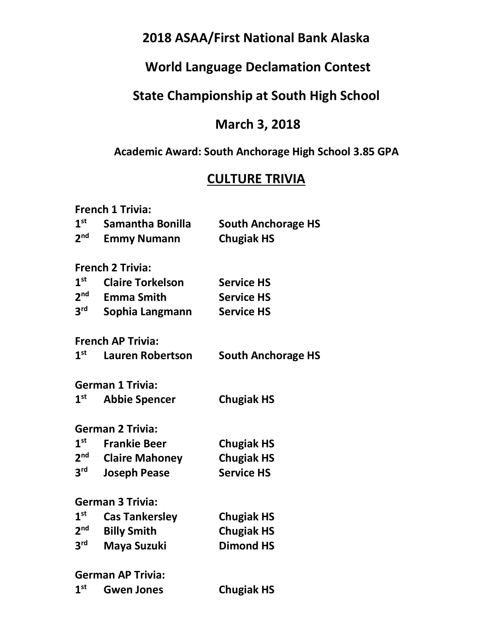# **2018 ASAA/First National Bank Alaska**

# **World Language Declamation Contest**

# **State Championship at South High School**

## **March 3, 2018**

## **Academic Award: South Anchorage High School 3.85 GPA**

# **CULTURE TRIVIA**

|                 | <b>French 1 Trivia:</b>  |                           |
|-----------------|--------------------------|---------------------------|
| 1 <sup>st</sup> | Samantha Bonilla         | <b>South Anchorage HS</b> |
| 2 <sup>nd</sup> | <b>Emmy Numann</b>       | <b>Chugiak HS</b>         |
|                 | <b>French 2 Trivia:</b>  |                           |
| 1 <sup>st</sup> | <b>Claire Torkelson</b>  | <b>Service HS</b>         |
| 2 <sup>nd</sup> | <b>Emma Smith</b>        | <b>Service HS</b>         |
| 3 <sup>rd</sup> | Sophia Langmann          | <b>Service HS</b>         |
|                 | <b>French AP Trivia:</b> |                           |
| 1 <sup>st</sup> | <b>Lauren Robertson</b>  | <b>South Anchorage HS</b> |
|                 | <b>German 1 Trivia:</b>  |                           |
| 1 <sup>st</sup> | <b>Abbie Spencer</b>     | <b>Chugiak HS</b>         |
|                 | <b>German 2 Trivia:</b>  |                           |
| $1^{\rm st}$    | <b>Frankie Beer</b>      | <b>Chugiak HS</b>         |
| 2 <sup>nd</sup> | <b>Claire Mahoney</b>    | <b>Chugiak HS</b>         |
| 3 <sup>rd</sup> | <b>Joseph Pease</b>      | <b>Service HS</b>         |
|                 | <b>German 3 Trivia:</b>  |                           |
| 1 <sup>st</sup> | <b>Cas Tankersley</b>    | <b>Chugiak HS</b>         |
| 2 <sup>nd</sup> | <b>Billy Smith</b>       | <b>Chugiak HS</b>         |
| 3 <sup>rd</sup> | Maya Suzuki              | <b>Dimond HS</b>          |
|                 | <b>German AP Trivia:</b> |                           |
| 1 <sup>st</sup> | <b>Gwen Jones</b>        | <b>Chugiak HS</b>         |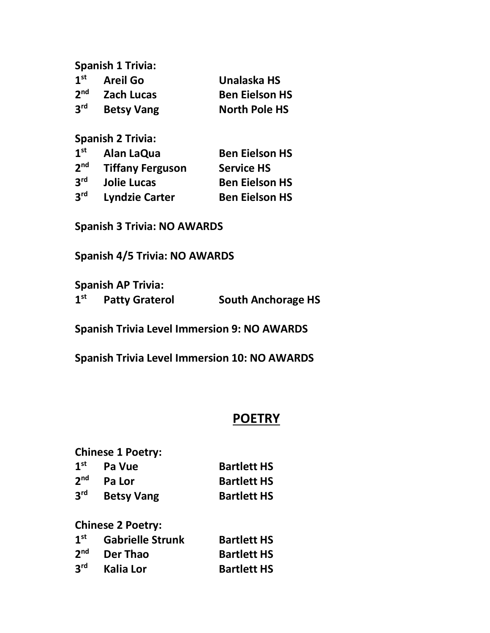**Spanish 1 Trivia: 1st Areil Go Unalaska HS 2nd Zach Lucas Ben Eielson HS 3rd Betsy Vang North Pole HS**

**Spanish 2 Trivia:**

| 1 <sup>st</sup> | Alan LaQua              | <b>Ben Eielson HS</b> |
|-----------------|-------------------------|-----------------------|
| 2 <sub>nd</sub> | <b>Tiffany Ferguson</b> | <b>Service HS</b>     |
| 3 <sup>rd</sup> | <b>Jolie Lucas</b>      | <b>Ben Eielson HS</b> |
| 3 <sup>rd</sup> | <b>Lyndzie Carter</b>   | <b>Ben Eielson HS</b> |

**Spanish 3 Trivia: NO AWARDS**

**Spanish 4/5 Trivia: NO AWARDS**

**Spanish AP Trivia: 1st Patty Graterol South Anchorage HS**

**Spanish Trivia Level Immersion 9: NO AWARDS**

**Spanish Trivia Level Immersion 10: NO AWARDS**

#### **POETRY**

|                 | <b>Chinese 1 Poetry:</b> |                    |
|-----------------|--------------------------|--------------------|
| 1 <sup>st</sup> | Pa Vue                   | <b>Bartlett HS</b> |
| 2 <sup>nd</sup> | Pa Lor                   | <b>Bartlett HS</b> |
| 3 <sup>rd</sup> | <b>Betsy Vang</b>        | <b>Bartlett HS</b> |
|                 | <b>Chinese 2 Poetry:</b> |                    |
| 1 <sup>st</sup> | <b>Gabrielle Strunk</b>  | <b>Bartlett HS</b> |

**2nd Der Thao Bartlett HS 3rd Kalia Lor Bartlett HS**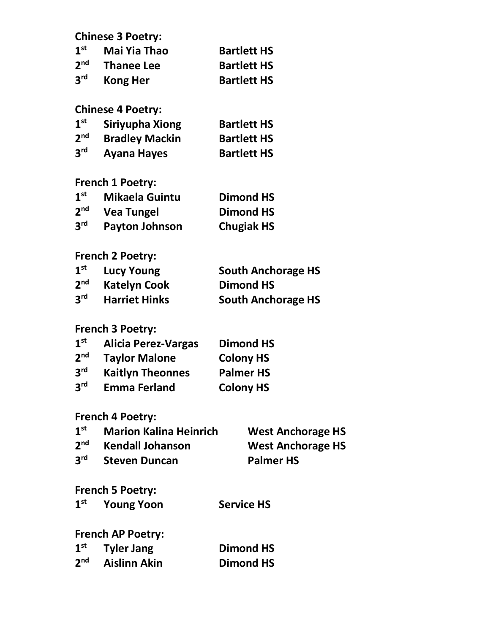|                 | <b>Chinese 3 Poetry:</b>      |                           |
|-----------------|-------------------------------|---------------------------|
| 1 <sup>st</sup> | <b>Mai Yia Thao</b>           | <b>Bartlett HS</b>        |
| 2 <sup>nd</sup> | <b>Thanee Lee</b>             | <b>Bartlett HS</b>        |
| 3 <sup>rd</sup> | <b>Kong Her</b>               | <b>Bartlett HS</b>        |
|                 | <b>Chinese 4 Poetry:</b>      |                           |
| 1 <sup>st</sup> | Siriyupha Xiong               | <b>Bartlett HS</b>        |
| 2 <sup>nd</sup> | <b>Bradley Mackin</b>         | <b>Bartlett HS</b>        |
| 3 <sup>rd</sup> | <b>Ayana Hayes</b>            | <b>Bartlett HS</b>        |
|                 | <b>French 1 Poetry:</b>       |                           |
| 1 <sup>st</sup> | <b>Mikaela Guintu</b>         | <b>Dimond HS</b>          |
| 2 <sup>nd</sup> | <b>Vea Tungel</b>             | <b>Dimond HS</b>          |
| 3 <sup>rd</sup> | <b>Payton Johnson</b>         | <b>Chugiak HS</b>         |
|                 | <b>French 2 Poetry:</b>       |                           |
| 1 <sup>st</sup> | <b>Lucy Young</b>             | <b>South Anchorage HS</b> |
| 2 <sup>nd</sup> | <b>Katelyn Cook</b>           | <b>Dimond HS</b>          |
| 3 <sup>rd</sup> | <b>Harriet Hinks</b>          | <b>South Anchorage HS</b> |
|                 | French 3 Poetry:              |                           |
| 1 <sup>st</sup> | <b>Alicia Perez-Vargas</b>    | <b>Dimond HS</b>          |
| 2 <sup>nd</sup> | <b>Taylor Malone</b>          | <b>Colony HS</b>          |
| 3 <sup>rd</sup> | <b>Kaitlyn Theonnes</b>       | <b>Palmer HS</b>          |
| 3 <sup>rd</sup> | <b>Emma Ferland</b>           | <b>Colony HS</b>          |
|                 | <b>French 4 Poetry:</b>       |                           |
| 1 <sup>st</sup> | <b>Marion Kalina Heinrich</b> | <b>West Anchorage HS</b>  |
| 2 <sup>nd</sup> | <b>Kendall Johanson</b>       | <b>West Anchorage HS</b>  |
| $3^{\text{rd}}$ | <b>Steven Duncan</b>          | <b>Palmer HS</b>          |
|                 | <b>French 5 Poetry:</b>       |                           |
| 1 <sup>st</sup> | <b>Young Yoon</b>             | <b>Service HS</b>         |
|                 | <b>French AP Poetry:</b>      |                           |
| 1 <sup>st</sup> | <b>Tyler Jang</b>             | <b>Dimond HS</b>          |
| 2 <sup>nd</sup> | <b>Aislinn Akin</b>           | <b>Dimond HS</b>          |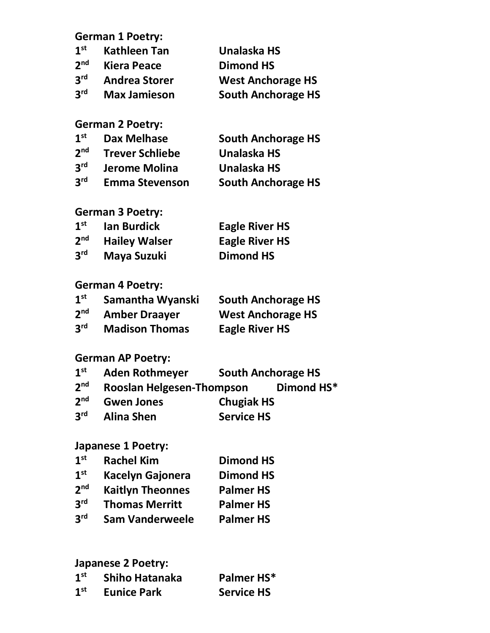**German 1 Poetry:**

| 1 <sup>st</sup> | <b>Kathleen Tan</b>  | Unalaska HS               |
|-----------------|----------------------|---------------------------|
| 2 <sup>nd</sup> | <b>Kiera Peace</b>   | <b>Dimond HS</b>          |
| 3 <sup>rd</sup> | <b>Andrea Storer</b> | <b>West Anchorage HS</b>  |
| 3 <sup>rd</sup> | <b>Max Jamieson</b>  | <b>South Anchorage HS</b> |

## **German 2 Poetry:**

| 1 <sup>st</sup> | <b>Dax Melhase</b>     | <b>South Anchorage HS</b> |
|-----------------|------------------------|---------------------------|
| 2 <sup>nd</sup> | <b>Trever Schliebe</b> | Unalaska HS               |
| 3 <sup>rd</sup> | Jerome Molina          | Unalaska HS               |
| 3 <sup>rd</sup> | <b>Emma Stevenson</b>  | <b>South Anchorage HS</b> |

#### **German 3 Poetry:**

| 1 <sup>st</sup> | <b>Ian Burdick</b>   | <b>Eagle River HS</b> |
|-----------------|----------------------|-----------------------|
| 2 <sub>nd</sub> | <b>Hailey Walser</b> | <b>Eagle River HS</b> |
| 3 <sup>rd</sup> | Maya Suzuki          | Dimond HS             |

## **German 4 Poetry:**

| 1 <sup>st</sup> | Samantha Wyanski      | <b>South Anchorage HS</b> |
|-----------------|-----------------------|---------------------------|
| 2 <sup>nd</sup> | <b>Amber Draayer</b>  | <b>West Anchorage HS</b>  |
| 3 <sup>rd</sup> | <b>Madison Thomas</b> | <b>Eagle River HS</b>     |

## **German AP Poetry:**

| 1 <sup>st</sup> | <b>Aden Rothmeyer</b>     |                   | <b>South Anchorage HS</b> |
|-----------------|---------------------------|-------------------|---------------------------|
| 2 <sup>nd</sup> | Rooslan Helgesen-Thompson |                   | Dimond HS*                |
| 2 <sub>nd</sub> | <b>Gwen Jones</b>         | <b>Chugiak HS</b> |                           |
| 3 <sup>rd</sup> | <b>Alina Shen</b>         | <b>Service HS</b> |                           |

## **Japanese 1 Poetry:**

| 1 <sup>st</sup> | <b>Rachel Kim</b>       | <b>Dimond HS</b> |
|-----------------|-------------------------|------------------|
| 1 <sup>st</sup> | <b>Kacelyn Gajonera</b> | <b>Dimond HS</b> |
| 2 <sub>nd</sub> | <b>Kaitlyn Theonnes</b> | <b>Palmer HS</b> |
| 3 <sup>rd</sup> | <b>Thomas Merritt</b>   | <b>Palmer HS</b> |
| 3 <sup>rd</sup> | <b>Sam Vanderweele</b>  | <b>Palmer HS</b> |

## **Japanese 2 Poetry:**

| 1 <sup>st</sup> | Shiho Hatanaka     | Palmer HS*        |
|-----------------|--------------------|-------------------|
| 1 <sup>st</sup> | <b>Eunice Park</b> | <b>Service HS</b> |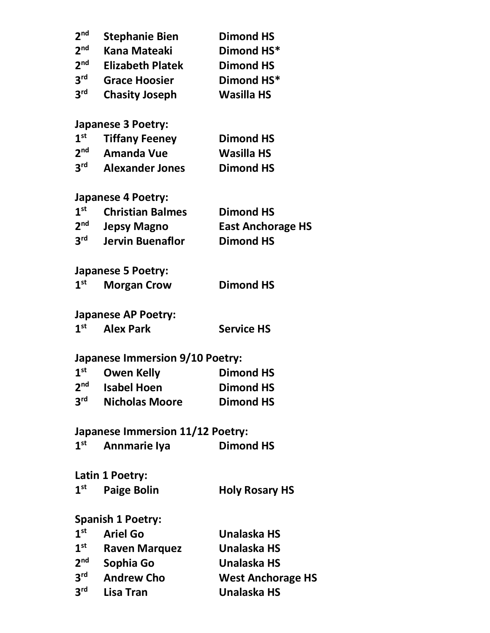| 2 <sub>nd</sub> | <b>Stephanie Bien</b>                   | <b>Dimond HS</b>         |
|-----------------|-----------------------------------------|--------------------------|
| 2 <sub>nd</sub> | <b>Kana Mateaki</b>                     | Dimond HS*               |
| 2 <sup>nd</sup> | <b>Elizabeth Platek</b>                 | <b>Dimond HS</b>         |
| 3 <sup>rd</sup> | <b>Grace Hoosier</b>                    | Dimond HS*               |
| 3 <sup>rd</sup> | <b>Chasity Joseph</b>                   | <b>Wasilla HS</b>        |
|                 | <b>Japanese 3 Poetry:</b>               |                          |
| 1 <sup>st</sup> | <b>Tiffany Feeney</b>                   | <b>Dimond HS</b>         |
| 2 <sup>nd</sup> | <b>Amanda Vue</b>                       | <b>Wasilla HS</b>        |
| 3 <sup>rd</sup> | <b>Alexander Jones</b>                  | <b>Dimond HS</b>         |
|                 | <b>Japanese 4 Poetry:</b>               |                          |
| 1 <sup>st</sup> | <b>Christian Balmes</b>                 | <b>Dimond HS</b>         |
| 2 <sup>nd</sup> | <b>Jepsy Magno</b>                      | <b>East Anchorage HS</b> |
| 3 <sup>rd</sup> | <b>Jervin Buenaflor</b>                 | <b>Dimond HS</b>         |
|                 | <b>Japanese 5 Poetry:</b>               |                          |
| $1^{\rm st}$    | <b>Morgan Crow</b>                      | <b>Dimond HS</b>         |
|                 | <b>Japanese AP Poetry:</b>              |                          |
| 1 <sup>st</sup> | <b>Alex Park</b>                        | <b>Service HS</b>        |
|                 | <b>Japanese Immersion 9/10 Poetry:</b>  |                          |
| 1 <sup>st</sup> | <b>Owen Kelly</b>                       | <b>Dimond HS</b>         |
| 2 <sup>nd</sup> | <b>Isabel Hoen</b>                      | <b>Dimond HS</b>         |
| 3 <sup>rd</sup> | <b>Nicholas Moore</b>                   | <b>Dimond HS</b>         |
|                 | <b>Japanese Immersion 11/12 Poetry:</b> |                          |
| 1 <sup>st</sup> | <b>Annmarie Iya</b>                     | <b>Dimond HS</b>         |
|                 | Latin 1 Poetry:                         |                          |
| 1 <sup>st</sup> | <b>Paige Bolin</b>                      | <b>Holy Rosary HS</b>    |
|                 | <b>Spanish 1 Poetry:</b>                |                          |
| $1^{\rm st}$    | <b>Ariel Go</b>                         | Unalaska HS              |
| $1^{\rm st}$    | <b>Raven Marquez</b>                    | Unalaska HS              |
| 2 <sup>nd</sup> | Sophia Go                               | <b>Unalaska HS</b>       |
| 3 <sup>rd</sup> | <b>Andrew Cho</b>                       | <b>West Anchorage HS</b> |
| 3 <sup>rd</sup> | Lisa Tran                               | <b>Unalaska HS</b>       |
|                 |                                         |                          |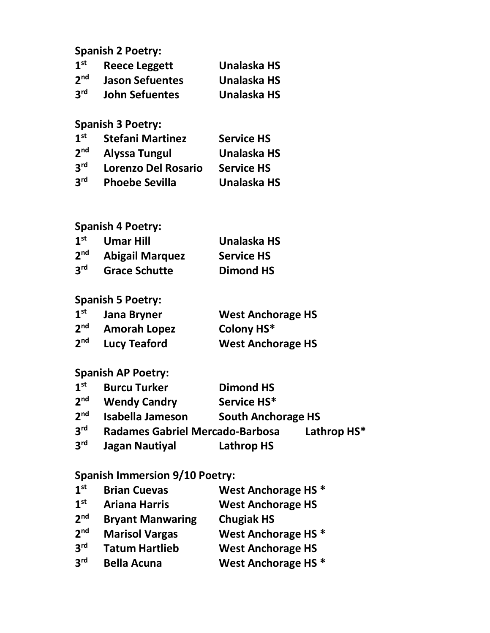## **Spanish 2 Poetry:**

| 1 <sup>st</sup> | <b>Reece Leggett</b>   | Unalaska HS |
|-----------------|------------------------|-------------|
| 2 <sup>nd</sup> | <b>Jason Sefuentes</b> | Unalaska HS |
| 3 <sup>rd</sup> | <b>John Sefuentes</b>  | Unalaska HS |

# **Spanish 3 Poetry:**

| 1 <sup>st</sup> | <b>Stefani Martinez</b>    | <b>Service HS</b>  |
|-----------------|----------------------------|--------------------|
| 2 <sup>nd</sup> | <b>Alyssa Tungul</b>       | <b>Unalaska HS</b> |
| 3 <sup>rd</sup> | <b>Lorenzo Del Rosario</b> | <b>Service HS</b>  |
| 3 <sup>rd</sup> | <b>Phoebe Sevilla</b>      | <b>Unalaska HS</b> |

## **Spanish 4 Poetry:**

| 1 <sup>st</sup> | <b>Umar Hill</b>       | Unalaska HS       |
|-----------------|------------------------|-------------------|
| 2 <sup>nd</sup> | <b>Abigail Marquez</b> | <b>Service HS</b> |
| 3 <sup>rd</sup> | <b>Grace Schutte</b>   | <b>Dimond HS</b>  |

## **Spanish 5 Poetry:**

| 1 <sup>st</sup> | Jana Bryner         | <b>West Anchorage HS</b> |
|-----------------|---------------------|--------------------------|
| 2 <sup>nd</sup> | <b>Amorah Lopez</b> | Colony HS*               |
| 2 <sup>nd</sup> | <b>Lucy Teaford</b> | <b>West Anchorage HS</b> |

#### **Spanish AP Poetry:**

| 1 <sup>st</sup> | <b>Burcu Turker</b>             | <b>Dimond HS</b>          |             |
|-----------------|---------------------------------|---------------------------|-------------|
| 2 <sub>nd</sub> | <b>Wendy Candry</b>             | Service HS*               |             |
| 2 <sup>nd</sup> | Isabella Jameson                | <b>South Anchorage HS</b> |             |
| 3 <sup>rd</sup> | Radames Gabriel Mercado-Barbosa |                           | Lathrop HS* |
| 3 <sup>rd</sup> | <b>Jagan Nautiyal</b>           | <b>Lathrop HS</b>         |             |

## **Spanish Immersion 9/10 Poetry:**

| 1 <sup>st</sup> | <b>Brian Cuevas</b>     | West Anchorage HS <sup>*</sup> |
|-----------------|-------------------------|--------------------------------|
| 1 <sup>st</sup> | <b>Ariana Harris</b>    | <b>West Anchorage HS</b>       |
| 2 <sub>nd</sub> | <b>Bryant Manwaring</b> | <b>Chugiak HS</b>              |
| 2 <sup>nd</sup> | <b>Marisol Vargas</b>   | West Anchorage HS <sup>*</sup> |
| 3 <sup>rd</sup> | <b>Tatum Hartlieb</b>   | <b>West Anchorage HS</b>       |
| 2 <sup>rd</sup> | <b>Bella Acuna</b>      | West Anchorage HS <sup>*</sup> |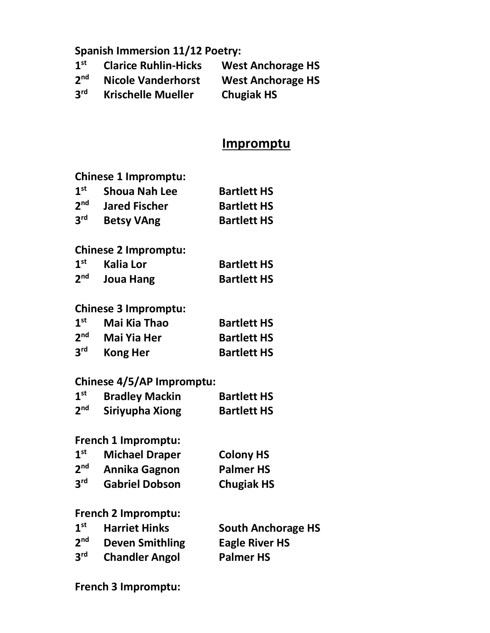## **Spanish Immersion 11/12 Poetry:**

| 1 <sup>st</sup> | <b>Clarice Ruhlin-Hicks</b> | <b>West Anchorage HS</b> |
|-----------------|-----------------------------|--------------------------|
| 2 <sub>nd</sub> | <b>Nicole Vanderhorst</b>   | <b>West Anchorage HS</b> |
| 3 <sup>rd</sup> | <b>Krischelle Mueller</b>   | <b>Chugiak HS</b>        |

## **Impromptu**

#### **Chinese 1 Impromptu:**

| $\mathbf{1}^{\mathsf{st}}$ | <b>Shoua Nah Lee</b> | <b>Bartlett HS</b> |
|----------------------------|----------------------|--------------------|
| $2^{\text{nd}}$            | <b>Jared Fischer</b> | <b>Bartlett HS</b> |
| $3^{\mathsf{rd}}$          | <b>Betsy VAng</b>    | <b>Bartlett HS</b> |

#### **Chinese 2 Impromptu:**

| $1st$ Kalia Lor           | <b>Bartlett HS</b> |
|---------------------------|--------------------|
| 2 <sup>nd</sup> Joua Hang | <b>Bartlett HS</b> |

#### **Chinese 3 Impromptu:**

| 1 <sup>st</sup> | Mai Kia Thao    | <b>Bartlett HS</b> |
|-----------------|-----------------|--------------------|
| 2 <sup>nd</sup> | Mai Yia Her     | <b>Bartlett HS</b> |
| 3 <sup>rd</sup> | <b>Kong Her</b> | <b>Bartlett HS</b> |

### **Chinese 4/5/AP Impromptu:**

| $1^{\rm st}$    | <b>Bradley Mackin</b> | <b>Bartlett HS</b> |
|-----------------|-----------------------|--------------------|
| 2 <sup>nd</sup> | Siriyupha Xiong       | <b>Bartlett HS</b> |

#### **French 1 Impromptu:**

| 1 <sup>st</sup> | <b>Michael Draper</b> | <b>Colony HS</b>  |
|-----------------|-----------------------|-------------------|
| 2 <sup>nd</sup> | <b>Annika Gagnon</b>  | <b>Palmer HS</b>  |
| 3 <sup>rd</sup> | <b>Gabriel Dobson</b> | <b>Chugiak HS</b> |

#### **French 2 Impromptu:**

| 1 <sup>st</sup> | <b>Harriet Hinks</b>   | <b>South Anchorage HS</b> |
|-----------------|------------------------|---------------------------|
| 2 <sup>nd</sup> | <b>Deven Smithling</b> | <b>Eagle River HS</b>     |
| 3 <sup>rd</sup> | <b>Chandler Angol</b>  | <b>Palmer HS</b>          |

#### **French 3 Impromptu:**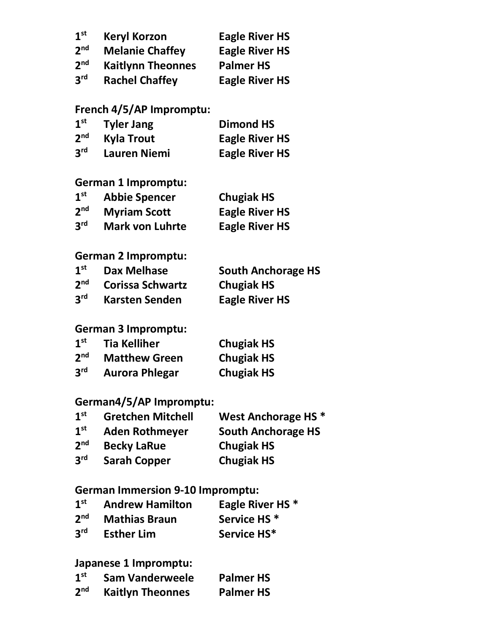| 1 <sup>st</sup> | <b>Keryl Korzon</b>      | <b>Eagle River HS</b> |
|-----------------|--------------------------|-----------------------|
| 2 <sup>nd</sup> | <b>Melanie Chaffey</b>   | <b>Eagle River HS</b> |
| 2 <sup>nd</sup> | <b>Kaitlynn Theonnes</b> | <b>Palmer HS</b>      |
| 3 <sup>rd</sup> | <b>Rachel Chaffey</b>    | <b>Eagle River HS</b> |

#### **French 4/5/AP Impromptu:**

| 1 <sup>st</sup> | <b>Tyler Jang</b>   | <b>Dimond HS</b>      |
|-----------------|---------------------|-----------------------|
| 2 <sup>nd</sup> | <b>Kyla Trout</b>   | <b>Eagle River HS</b> |
| 3 <sup>rd</sup> | <b>Lauren Niemi</b> | <b>Eagle River HS</b> |

## **German 1 Impromptu:**

| 1 <sup>st</sup> | <b>Abbie Spencer</b>   | <b>Chugiak HS</b>     |
|-----------------|------------------------|-----------------------|
| 2 <sup>nd</sup> | <b>Myriam Scott</b>    | <b>Eagle River HS</b> |
| 3 <sup>rd</sup> | <b>Mark von Luhrte</b> | <b>Eagle River HS</b> |

### **German 2 Impromptu:**

| 1 <sup>st</sup> | <b>Dax Melhase</b>      | <b>South Anchorage HS</b> |
|-----------------|-------------------------|---------------------------|
| 2 <sup>nd</sup> | <b>Corissa Schwartz</b> | <b>Chugiak HS</b>         |
| 3 <sup>rd</sup> | <b>Karsten Senden</b>   | <b>Eagle River HS</b>     |

#### **German 3 Impromptu:**

| 1 <sup>st</sup> | <b>Tia Kelliher</b>   | <b>Chugiak HS</b> |
|-----------------|-----------------------|-------------------|
| 2 <sup>nd</sup> | <b>Matthew Green</b>  | <b>Chugiak HS</b> |
| 3 <sup>rd</sup> | <b>Aurora Phlegar</b> | <b>Chugiak HS</b> |

## **German4/5/AP Impromptu:**

| <b>Gretchen Mitchell</b> | West Anchorage HS <sup>*</sup> |
|--------------------------|--------------------------------|
| <b>Aden Rothmeyer</b>    | <b>South Anchorage HS</b>      |
| <b>Becky LaRue</b>       | <b>Chugiak HS</b>              |
| <b>Sarah Copper</b>      | <b>Chugiak HS</b>              |
|                          |                                |

## **German Immersion 9-10 Impromptu:**

| 1 <sup>st</sup> | <b>Andrew Hamilton</b> | Eagle River HS <sup>*</sup> |
|-----------------|------------------------|-----------------------------|
| 2 <sup>nd</sup> | <b>Mathias Braun</b>   | Service HS <sup>*</sup>     |
| 3 <sup>rd</sup> | <b>Esther Lim</b>      | Service HS*                 |

#### **Japanese 1 Impromptu:**

| 1 <sup>st</sup> | <b>Sam Vanderweele</b>  | <b>Palmer HS</b> |
|-----------------|-------------------------|------------------|
| 2 <sup>nd</sup> | <b>Kaitlyn Theonnes</b> | <b>Palmer HS</b> |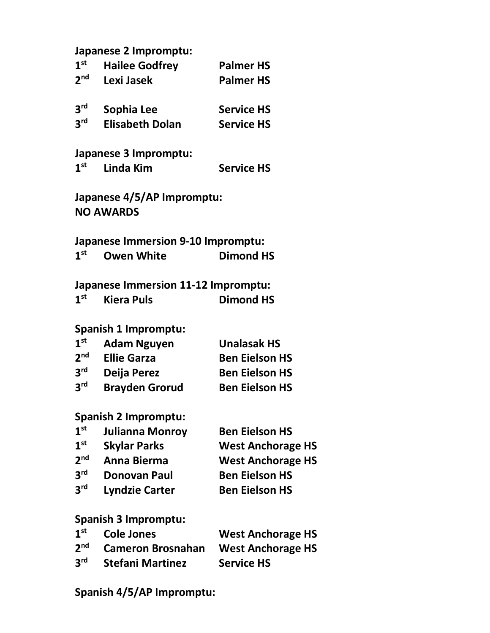|                            | Japanese 2 Impromptu:  |                   |
|----------------------------|------------------------|-------------------|
| 1 <sup>st</sup>            | <b>Hailee Godfrey</b>  | <b>Palmer HS</b>  |
| 2 <sub>nd</sub>            | Lexi Jasek             | <b>Palmer HS</b>  |
| 3 <sup>rd</sup>            | Sophia Lee             | <b>Service HS</b> |
| <b>2rd</b>                 | <b>Elisabeth Dolan</b> | <b>Service HS</b> |
|                            | Japanese 3 Impromptu:  |                   |
| 1 <sup>st</sup>            | Linda Kim              | <b>Service HS</b> |
| Japanese 4/5/AP Impromptu: |                        |                   |
| <b>NO AWARDS</b>           |                        |                   |
|                            |                        |                   |

**Japanese Immersion 9-10 Impromptu: 1st Owen White Dimond HS** 

#### **Japanese Immersion 11-12 Impromptu: 1st Kiera Puls Dimond HS**

#### **Spanish 1 Impromptu:**

| 1 <sup>st</sup> | <b>Adam Nguyen</b>    | <b>Unalasak HS</b>    |
|-----------------|-----------------------|-----------------------|
| 2 <sup>nd</sup> | <b>Ellie Garza</b>    | <b>Ben Eielson HS</b> |
| 3 <sup>rd</sup> | Deija Perez           | <b>Ben Eielson HS</b> |
| 3 <sup>rd</sup> | <b>Brayden Grorud</b> | <b>Ben Eielson HS</b> |

#### **Spanish 2 Impromptu:**

| 1 <sup>st</sup> | Julianna Monroy       | <b>Ben Eielson HS</b>    |
|-----------------|-----------------------|--------------------------|
| 1 <sup>st</sup> | <b>Skylar Parks</b>   | <b>West Anchorage HS</b> |
| 2 <sub>nd</sub> | <b>Anna Bierma</b>    | <b>West Anchorage HS</b> |
| 3 <sup>rd</sup> | <b>Donovan Paul</b>   | <b>Ben Eielson HS</b>    |
| 3 <sup>rd</sup> | <b>Lyndzie Carter</b> | <b>Ben Eielson HS</b>    |
|                 |                       |                          |

#### **Spanish 3 Impromptu:**

| $1^{\rm st}$    | <b>Cole Jones</b>                 | <b>West Anchorage HS</b> |
|-----------------|-----------------------------------|--------------------------|
|                 | 2 <sup>nd</sup> Cameron Brosnahan | <b>West Anchorage HS</b> |
| 3 <sup>rd</sup> | <b>Stefani Martinez</b>           | <b>Service HS</b>        |

## **Spanish 4/5/AP Impromptu:**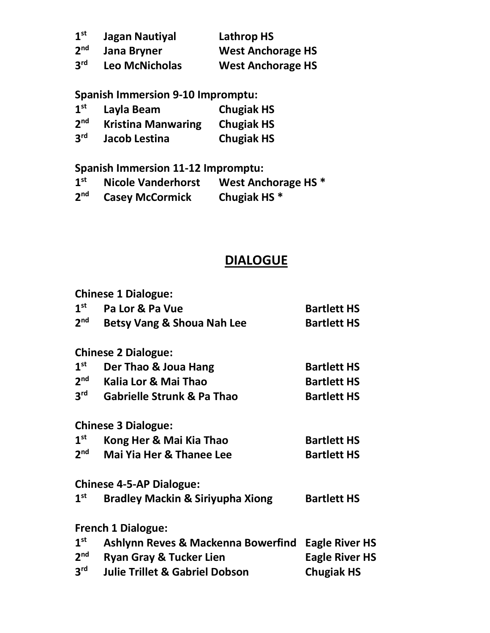| 1 <sup>st</sup> | Jagan Nautiyal        | <b>Lathrop HS</b>        |
|-----------------|-----------------------|--------------------------|
| 2 <sup>nd</sup> | Jana Bryner           | <b>West Anchorage HS</b> |
| 3 <sup>rd</sup> | <b>Leo McNicholas</b> | <b>West Anchorage HS</b> |

**Spanish Immersion 9-10 Impromptu:**

| 1 <sup>st</sup> | Layla Beam                | <b>Chugiak HS</b> |
|-----------------|---------------------------|-------------------|
| 2 <sup>nd</sup> | <b>Kristina Manwaring</b> | <b>Chugiak HS</b> |
| 3 <sup>rd</sup> | Jacob Lestina             | <b>Chugiak HS</b> |

**Spanish Immersion 11-12 Impromptu:**

- **1st Nicole Vanderhorst West Anchorage HS \***
- $2a$  **Casey McCormick**

# **DIALOGUE**

|                 | <b>Chinese 1 Dialogue:</b>                  |                       |
|-----------------|---------------------------------------------|-----------------------|
| 1 <sup>st</sup> | Pa Lor & Pa Vue                             | <b>Bartlett HS</b>    |
| 2 <sup>nd</sup> | <b>Betsy Vang &amp; Shoua Nah Lee</b>       | <b>Bartlett HS</b>    |
|                 | <b>Chinese 2 Dialogue:</b>                  |                       |
| 1 <sup>st</sup> | Der Thao & Joua Hang                        | <b>Bartlett HS</b>    |
| 2 <sup>nd</sup> | Kalia Lor & Mai Thao                        | <b>Bartlett HS</b>    |
| $3^{\text{rd}}$ | <b>Gabrielle Strunk &amp; Pa Thao</b>       | <b>Bartlett HS</b>    |
|                 | <b>Chinese 3 Dialogue:</b>                  |                       |
| 1 <sup>st</sup> | Kong Her & Mai Kia Thao                     | <b>Bartlett HS</b>    |
| 2 <sup>nd</sup> | <b>Mai Yia Her &amp; Thanee Lee</b>         | <b>Bartlett HS</b>    |
|                 | <b>Chinese 4-5-AP Dialogue:</b>             |                       |
| 1 <sup>st</sup> | <b>Bradley Mackin &amp; Siriyupha Xiong</b> | <b>Bartlett HS</b>    |
|                 | <b>French 1 Dialogue:</b>                   |                       |
| 1 <sup>st</sup> | Ashlynn Reves & Mackenna Bowerfind          | <b>Eagle River HS</b> |
| 2 <sup>nd</sup> | <b>Ryan Gray &amp; Tucker Lien</b>          | <b>Eagle River HS</b> |
| 3 <sup>rd</sup> | <b>Julie Trillet &amp; Gabriel Dobson</b>   | <b>Chugiak HS</b>     |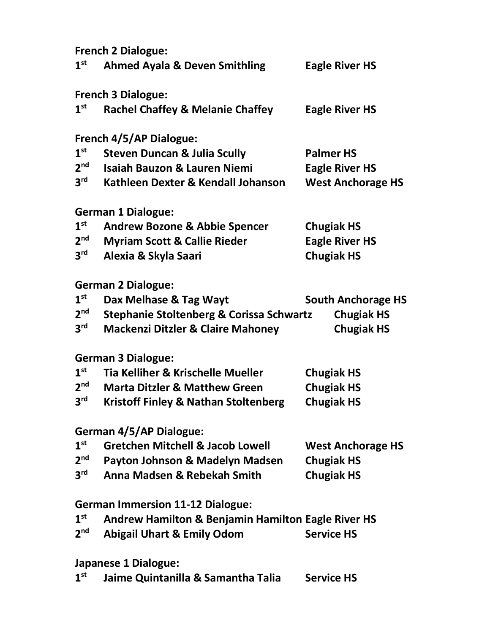**French 2 Dialogue:**

| 1 <sup>st</sup> | <b>Ahmed Ayala &amp; Deven Smithling</b>                      | <b>Eagle River HS</b>     |
|-----------------|---------------------------------------------------------------|---------------------------|
|                 | <b>French 3 Dialogue:</b>                                     |                           |
| 1 <sup>st</sup> | <b>Rachel Chaffey &amp; Melanie Chaffey</b>                   | <b>Eagle River HS</b>     |
|                 | <b>French 4/5/AP Dialogue:</b>                                |                           |
| 1 <sup>st</sup> | <b>Steven Duncan &amp; Julia Scully</b>                       | <b>Palmer HS</b>          |
| 2 <sup>nd</sup> | <b>Isaiah Bauzon &amp; Lauren Niemi</b>                       | <b>Eagle River HS</b>     |
| 3 <sup>rd</sup> | Kathleen Dexter & Kendall Johanson                            | <b>West Anchorage HS</b>  |
|                 | <b>German 1 Dialogue:</b>                                     |                           |
| 1 <sup>st</sup> | <b>Andrew Bozone &amp; Abbie Spencer</b>                      | <b>Chugiak HS</b>         |
| 2 <sub>nd</sub> | <b>Myriam Scott &amp; Callie Rieder</b>                       | <b>Eagle River HS</b>     |
| 3 <sup>rd</sup> | Alexia & Skyla Saari                                          | <b>Chugiak HS</b>         |
|                 | <b>German 2 Dialogue:</b>                                     |                           |
| 1 <sup>st</sup> | Dax Melhase & Tag Wayt                                        | <b>South Anchorage HS</b> |
| 2 <sup>nd</sup> | <b>Stephanie Stoltenberg &amp; Corissa Schwartz</b>           | <b>Chugiak HS</b>         |
| 3 <sup>rd</sup> | <b>Mackenzi Ditzler &amp; Claire Mahoney</b>                  | <b>Chugiak HS</b>         |
|                 | <b>German 3 Dialogue:</b>                                     |                           |
| 1 <sup>st</sup> | Tia Kelliher & Krischelle Mueller                             | <b>Chugiak HS</b>         |
| 2 <sub>nd</sub> | <b>Marta Ditzler &amp; Matthew Green</b>                      | <b>Chugiak HS</b>         |
| 3 <sup>rd</sup> | <b>Kristoff Finley &amp; Nathan Stoltenberg</b>               | <b>Chugiak HS</b>         |
|                 | German 4/5/AP Dialogue:                                       |                           |
| 1 <sup>st</sup> | <b>Gretchen Mitchell &amp; Jacob Lowell</b>                   | <b>West Anchorage HS</b>  |
| 2 <sup>nd</sup> | Payton Johnson & Madelyn Madsen                               | <b>Chugiak HS</b>         |
| 3 <sup>rd</sup> | Anna Madsen & Rebekah Smith                                   | <b>Chugiak HS</b>         |
|                 | <b>German Immersion 11-12 Dialogue:</b>                       |                           |
| 1 <sup>st</sup> | <b>Andrew Hamilton &amp; Benjamin Hamilton Eagle River HS</b> |                           |
| 2 <sub>nd</sub> | <b>Abigail Uhart &amp; Emily Odom</b>                         | <b>Service HS</b>         |
|                 | Japanese 1 Dialogue:                                          |                           |
| 1 <sup>st</sup> | Jaime Quintanilla & Samantha Talia                            | <b>Service HS</b>         |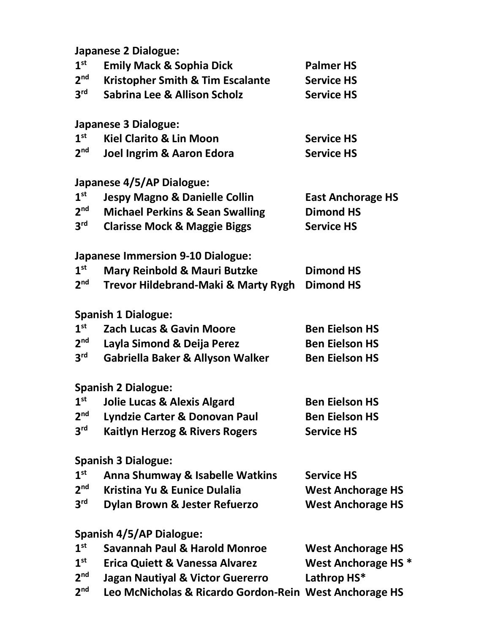**Japanese 2 Dialogue:**

| 1 <sup>st</sup> | <b>Emily Mack &amp; Sophia Dick</b>                    | <b>Palmer HS</b>               |
|-----------------|--------------------------------------------------------|--------------------------------|
| 2 <sup>nd</sup> | <b>Kristopher Smith &amp; Tim Escalante</b>            | <b>Service HS</b>              |
| 3 <sup>rd</sup> | <b>Sabrina Lee &amp; Allison Scholz</b>                | <b>Service HS</b>              |
|                 | <b>Japanese 3 Dialogue:</b>                            |                                |
| 1 <sup>st</sup> | <b>Kiel Clarito &amp; Lin Moon</b>                     | <b>Service HS</b>              |
| 2 <sup>nd</sup> | Joel Ingrim & Aaron Edora                              | <b>Service HS</b>              |
|                 | Japanese 4/5/AP Dialogue:                              |                                |
| 1 <sup>st</sup> | <b>Jespy Magno &amp; Danielle Collin</b>               | <b>East Anchorage HS</b>       |
| 2 <sup>nd</sup> | <b>Michael Perkins &amp; Sean Swalling</b>             | <b>Dimond HS</b>               |
| 3 <sup>rd</sup> | <b>Clarisse Mock &amp; Maggie Biggs</b>                | <b>Service HS</b>              |
|                 | <b>Japanese Immersion 9-10 Dialogue:</b>               |                                |
| 1 <sup>st</sup> | <b>Mary Reinbold &amp; Mauri Butzke</b>                | <b>Dimond HS</b>               |
| 2 <sup>nd</sup> | Trevor Hildebrand-Maki & Marty Rygh                    | <b>Dimond HS</b>               |
|                 | <b>Spanish 1 Dialogue:</b>                             |                                |
| 1 <sup>st</sup> | <b>Zach Lucas &amp; Gavin Moore</b>                    | <b>Ben Eielson HS</b>          |
| 2 <sup>nd</sup> | Layla Simond & Deija Perez                             | <b>Ben Eielson HS</b>          |
| $3^{\text{rd}}$ | Gabriella Baker & Allyson Walker                       | <b>Ben Eielson HS</b>          |
|                 | <b>Spanish 2 Dialogue:</b>                             |                                |
| 1 <sup>st</sup> | <b>Jolie Lucas &amp; Alexis Algard</b>                 | <b>Ben Eielson HS</b>          |
|                 | 2 <sup>nd</sup> Lyndzie Carter & Donovan Paul          | <b>Ben Eielson HS</b>          |
| 3 <sup>rd</sup> | <b>Kaitlyn Herzog &amp; Rivers Rogers</b>              | <b>Service HS</b>              |
|                 | <b>Spanish 3 Dialogue:</b>                             |                                |
| 1 <sup>st</sup> | Anna Shumway & Isabelle Watkins                        | <b>Service HS</b>              |
| 2 <sup>nd</sup> | Kristina Yu & Eunice Dulalia                           | <b>West Anchorage HS</b>       |
| $3^{\text{rd}}$ | Dylan Brown & Jester Refuerzo                          | <b>West Anchorage HS</b>       |
|                 | <b>Spanish 4/5/AP Dialogue:</b>                        |                                |
| 1 <sup>st</sup> | <b>Savannah Paul &amp; Harold Monroe</b>               | <b>West Anchorage HS</b>       |
| 1 <sup>st</sup> | <b>Erica Quiett &amp; Vanessa Alvarez</b>              | West Anchorage HS <sup>*</sup> |
| 2 <sub>nd</sub> | <b>Jagan Nautiyal &amp; Victor Guererro</b>            | Lathrop HS*                    |
| 2 <sup>nd</sup> | Leo McNicholas & Ricardo Gordon-Rein West Anchorage HS |                                |